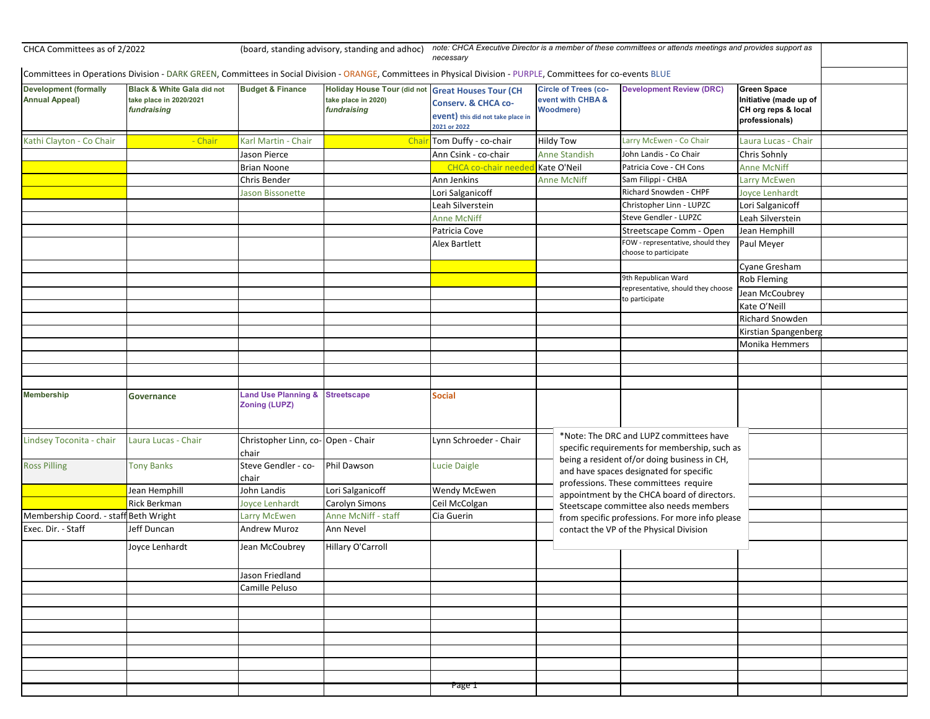| CHCA Committees as of 2/2022                          |                                                                                                                                                                 | (board, standing advisory, standing and adhoc)         |                                                                          | note: CHCA Executive Director is a member of these committees or attends meetings and provides support as<br>necessarv |                                                                      |                                                                                                                                  |                                                                                       |  |  |
|-------------------------------------------------------|-----------------------------------------------------------------------------------------------------------------------------------------------------------------|--------------------------------------------------------|--------------------------------------------------------------------------|------------------------------------------------------------------------------------------------------------------------|----------------------------------------------------------------------|----------------------------------------------------------------------------------------------------------------------------------|---------------------------------------------------------------------------------------|--|--|
|                                                       | Committees in Operations Division - DARK GREEN, Committees in Social Division - ORANGE, Committees in Physical Division - PURPLE, Committees for co-events BLUE |                                                        |                                                                          |                                                                                                                        |                                                                      |                                                                                                                                  |                                                                                       |  |  |
| <b>Development (formally</b><br><b>Annual Appeal)</b> | <b>Black &amp; White Gala did not</b><br>take place in 2020/2021<br>fundraising                                                                                 | <b>Budget &amp; Finance</b>                            | <b>Holiday House Tour (did not</b><br>take place in 2020)<br>fundraising | <b>Great Houses Tour (CH</b><br><b>Conserv. &amp; CHCA co-</b><br>event) this did not take place in<br>2021 or 2022    | <b>Circle of Trees (co-</b><br>event with CHBA &<br><b>Woodmere)</b> | <b>Development Review (DRC)</b>                                                                                                  | <b>Green Space</b><br>Initiative (made up of<br>CH org reps & local<br>professionals) |  |  |
| Kathi Clayton - Co Chair                              | - Chair                                                                                                                                                         | Karl Martin - Chair                                    | Chai                                                                     | Tom Duffy - co-chair                                                                                                   | <b>Hildy Tow</b>                                                     | Larry McEwen - Co Chair                                                                                                          | Laura Lucas - Chair                                                                   |  |  |
|                                                       |                                                                                                                                                                 | Jason Pierce                                           |                                                                          | Ann Csink - co-chair                                                                                                   | <b>Anne Standish</b>                                                 | John Landis - Co Chair                                                                                                           | Chris Sohnly                                                                          |  |  |
|                                                       |                                                                                                                                                                 | <b>Brian Noone</b>                                     |                                                                          | CHCA co-chair neede                                                                                                    | Kate O'Neil                                                          | Patricia Cove - CH Cons                                                                                                          | <b>Anne McNiff</b>                                                                    |  |  |
|                                                       |                                                                                                                                                                 | Chris Bender                                           |                                                                          | Ann Jenkins                                                                                                            | <b>Anne McNiff</b>                                                   | Sam Filippi - CHBA                                                                                                               | <b>Larry McEwen</b>                                                                   |  |  |
|                                                       |                                                                                                                                                                 | Jason Bissonette                                       |                                                                          | Lori Salganicoff                                                                                                       |                                                                      | Richard Snowden - CHPF                                                                                                           | Joyce Lenhardt                                                                        |  |  |
|                                                       |                                                                                                                                                                 |                                                        |                                                                          | Leah Silverstein                                                                                                       |                                                                      | Christopher Linn - LUPZC                                                                                                         | Lori Salganicoff                                                                      |  |  |
|                                                       |                                                                                                                                                                 |                                                        |                                                                          | <b>Anne McNiff</b>                                                                                                     |                                                                      | Steve Gendler - LUPZC                                                                                                            | Leah Silverstein                                                                      |  |  |
|                                                       |                                                                                                                                                                 |                                                        |                                                                          | Patricia Cove                                                                                                          |                                                                      | Streetscape Comm - Open                                                                                                          | Jean Hemphill                                                                         |  |  |
|                                                       |                                                                                                                                                                 |                                                        |                                                                          | Alex Bartlett                                                                                                          |                                                                      | FOW - representative, should they<br>choose to participate                                                                       | Paul Meyer                                                                            |  |  |
|                                                       |                                                                                                                                                                 |                                                        |                                                                          |                                                                                                                        |                                                                      |                                                                                                                                  | Cyane Gresham                                                                         |  |  |
|                                                       |                                                                                                                                                                 |                                                        |                                                                          |                                                                                                                        |                                                                      | 9th Republican Ward                                                                                                              | <b>Rob Fleming</b>                                                                    |  |  |
|                                                       |                                                                                                                                                                 |                                                        |                                                                          |                                                                                                                        |                                                                      | representative, should they choose                                                                                               | Jean McCoubrey                                                                        |  |  |
|                                                       |                                                                                                                                                                 |                                                        |                                                                          |                                                                                                                        |                                                                      | o participate                                                                                                                    | Kate O'Neill                                                                          |  |  |
|                                                       |                                                                                                                                                                 |                                                        |                                                                          |                                                                                                                        |                                                                      |                                                                                                                                  | <b>Richard Snowden</b>                                                                |  |  |
|                                                       |                                                                                                                                                                 |                                                        |                                                                          |                                                                                                                        |                                                                      |                                                                                                                                  | Kirstian Spangenberg                                                                  |  |  |
|                                                       |                                                                                                                                                                 |                                                        |                                                                          |                                                                                                                        |                                                                      |                                                                                                                                  | Monika Hemmers                                                                        |  |  |
|                                                       |                                                                                                                                                                 |                                                        |                                                                          |                                                                                                                        |                                                                      |                                                                                                                                  |                                                                                       |  |  |
|                                                       |                                                                                                                                                                 |                                                        |                                                                          |                                                                                                                        |                                                                      |                                                                                                                                  |                                                                                       |  |  |
|                                                       |                                                                                                                                                                 |                                                        |                                                                          |                                                                                                                        |                                                                      |                                                                                                                                  |                                                                                       |  |  |
| <b>Membership</b>                                     | Governance                                                                                                                                                      | <b>Land Use Planning &amp;</b><br><b>Zoning (LUPZ)</b> | <b>Streetscape</b>                                                       | <b>Social</b>                                                                                                          |                                                                      |                                                                                                                                  |                                                                                       |  |  |
| Lindsey Toconita - chair                              | Laura Lucas - Chair                                                                                                                                             | Christopher Linn, co-Open - Chair<br>chair             |                                                                          | Lynn Schroeder - Chair                                                                                                 |                                                                      | *Note: The DRC and LUPZ committees have<br>specific requirements for membership, such as                                         |                                                                                       |  |  |
| <b>Ross Pilling</b>                                   | <b>Tony Banks</b>                                                                                                                                               | Steve Gendler - co-<br>chair                           | Phil Dawson                                                              | <b>Lucie Daigle</b>                                                                                                    |                                                                      | being a resident of/or doing business in CH,<br>and have spaces designated for specific<br>professions. These committees require |                                                                                       |  |  |
|                                                       | Jean Hemphill                                                                                                                                                   | John Landis                                            | Lori Salganicoff                                                         | Wendy McEwen                                                                                                           |                                                                      | appointment by the CHCA board of directors.                                                                                      |                                                                                       |  |  |
|                                                       | Rick Berkman                                                                                                                                                    | Joyce Lenhardt                                         | Carolyn Simons                                                           | Ceil McColgan                                                                                                          |                                                                      | Steetscape committee also needs members<br>from specific professions. For more info please                                       |                                                                                       |  |  |
| Membership Coord. - staff Beth Wright                 |                                                                                                                                                                 | Larry McEwen                                           | Anne McNiff - staff                                                      | Cia Guerin                                                                                                             |                                                                      |                                                                                                                                  |                                                                                       |  |  |
| Exec. Dir. - Staff                                    | Jeff Duncan                                                                                                                                                     | <b>Andrew Muroz</b>                                    | Ann Nevel                                                                |                                                                                                                        | contact the VP of the Physical Division                              |                                                                                                                                  |                                                                                       |  |  |
|                                                       | Joyce Lenhardt                                                                                                                                                  | Jean McCoubrey                                         | Hillary O'Carroll                                                        |                                                                                                                        |                                                                      |                                                                                                                                  |                                                                                       |  |  |
|                                                       |                                                                                                                                                                 | Jason Friedland                                        |                                                                          |                                                                                                                        |                                                                      |                                                                                                                                  |                                                                                       |  |  |
|                                                       |                                                                                                                                                                 | Camille Peluso                                         |                                                                          |                                                                                                                        |                                                                      |                                                                                                                                  |                                                                                       |  |  |
|                                                       |                                                                                                                                                                 |                                                        |                                                                          |                                                                                                                        |                                                                      |                                                                                                                                  |                                                                                       |  |  |
|                                                       |                                                                                                                                                                 |                                                        |                                                                          |                                                                                                                        |                                                                      |                                                                                                                                  |                                                                                       |  |  |
|                                                       |                                                                                                                                                                 |                                                        |                                                                          |                                                                                                                        |                                                                      |                                                                                                                                  |                                                                                       |  |  |
|                                                       |                                                                                                                                                                 |                                                        |                                                                          |                                                                                                                        |                                                                      |                                                                                                                                  |                                                                                       |  |  |
|                                                       |                                                                                                                                                                 |                                                        |                                                                          |                                                                                                                        |                                                                      |                                                                                                                                  |                                                                                       |  |  |
|                                                       |                                                                                                                                                                 |                                                        |                                                                          |                                                                                                                        |                                                                      |                                                                                                                                  |                                                                                       |  |  |
|                                                       |                                                                                                                                                                 |                                                        |                                                                          |                                                                                                                        |                                                                      |                                                                                                                                  |                                                                                       |  |  |
|                                                       |                                                                                                                                                                 |                                                        |                                                                          | Page i                                                                                                                 |                                                                      |                                                                                                                                  |                                                                                       |  |  |